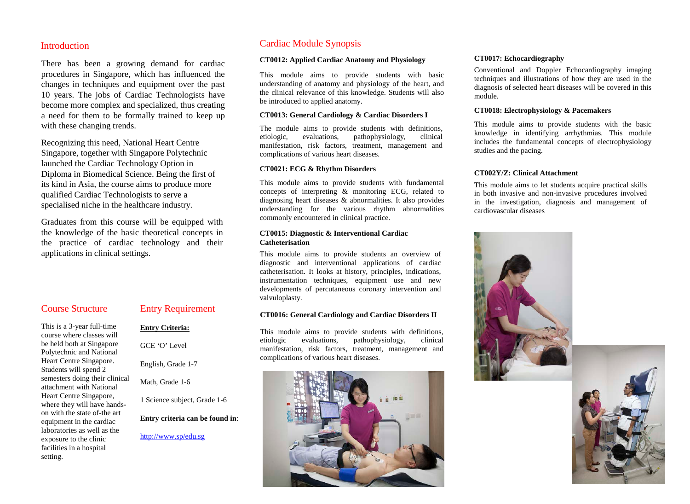### **Introduction**

There has been a growing demand for cardiac procedures in Singapore, which has influenced the changes in techniques and equipment over the past 10 years. The jobs of Cardiac Technologists have become more complex and specialized, thus creating a need for them to be formally trained to keep up with these changing trends.

Recognizing this need, National Heart Centre Singapore, together with Singapore Polytechnic launched the Cardiac Technology Option in Diploma in Biomedical Science. Being the first of its kind in Asia, the course aims to produce more qualified Cardiac Technologists to serve a specialised niche in the healthcare industry.

Graduates from this course will be equipped with the knowledge of the basic theoretical concepts in the practice of cardiac technology and their applications in clinical settings.

# Course Structure

This is a 3-year full-time course where classes will be held both at Singapore Polytechnic and National Heart Centre Singapore. Students will spend 2 semesters doing their clinical attachment with National Heart Centre Singapore, where they will have handson with the state of-the art equipment in the cardiac laboratories as well as the exposure to the clinic facilities in a hospital setting.

# Entry Requirement

**Entry Criteria:**

GCE 'O' Level

English, Grade 1-7

Math, Grade 1-6

1 Science subject, Grade 1-6

**Entry criteria can be found in**:

<http://www.sp/edu.sg>

# Cardiac Module Synopsis

#### **CT0012: Applied Cardiac Anatomy and Physiology**

This module aims to provide students with basic understanding of anatomy and physiology of the heart, and the clinical relevance of this knowledge. Students will also be introduced to applied anatomy.

#### **CT0013: General Cardiology & Cardiac Disorders I**

The module aims to provide students with definitions, etiologic, evaluations, pathophysiology, clinical manifestation, risk factors, treatment, management and complications of various heart diseases.

#### **CT0021: ECG & Rhythm Disorders**

This module aims to provide students with fundamental concepts of interpreting & monitoring ECG, related to diagnosing heart diseases & abnormalities. It also provides understanding for the various rhythm abnormalities commonly encountered in clinical practice.

#### **CT0015: Diagnostic & Interventional Cardiac Catheterisation**

This module aims to provide students an overview of diagnostic and interventional applications of cardiac catheterisation. It looks at history, principles, indications, instrumentation techniques, equipment use and new developments of percutaneous coronary intervention and valvuloplasty.

### **CT0016: General Cardiology and Cardiac Disorders II**

This module aims to provide students with definitions, etiologic evaluations, pathophysiology, clinical manifestation, risk factors, treatment, management and complications of various heart diseases.



#### **CT0017: Echocardiography**

Conventional and Doppler Echocardiography imaging techniques and illustrations of how they are used in the diagnosis of selected heart diseases will be covered in this module.

#### **CT0018: Electrophysiology & Pacemakers**

This module aims to provide students with the basic knowledge in identifying arrhythmias. This module includes the fundamental concepts of electrophysiology studies and the pacing.

#### **CT002Y/Z: Clinical Attachment**

This module aims to let students acquire practical skills in both invasive and non-invasive procedures involved in the investigation, diagnosis and management of cardiovascular diseases